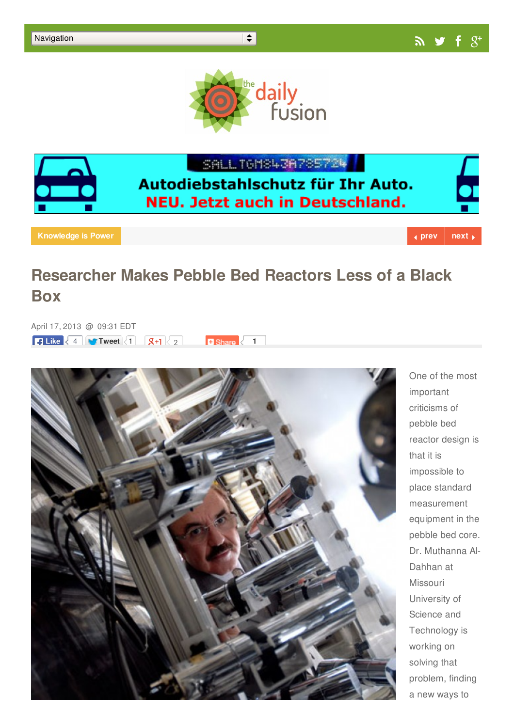



SALL TGMS43A785724

## Autodiebstahlschutz für Ihr Auto. **NEU. Jetzt auch in Deutschland.**

**[Knowledge](http://dailyfusion.net/knowledge-is-power/)** is Power **that the extreme is the extreme in the extreme in the extreme is a [prev](http://dailyfusion.net/2013/04/green-algae-could-produce-hydrogen-efficiently-5973/)ious of**  $\bullet$  **<b>prev [next](http://dailyfusion.net/2013/04/dry-cooling-project-for-thermal-power-stations-receives-arpa-e-award-5953/)**  $\bullet$ 

## **Researcher Makes Pebble Bed Reactors Less of a Black Box**

April 17, 2013 @ 09:31 EDT **R** Like  $\leq 4$  **Tweet**  $\leq 1$  **8+1**  $\leq 2$  **1** 



One of the most important criticisms of pebble bed reactor design is that it is impossible to place standard measurement equipment in the pebble bed core. Dr. Muthanna Al-Dahhan at Missouri University of Science and Technology is working on solving that problem, finding a new ways to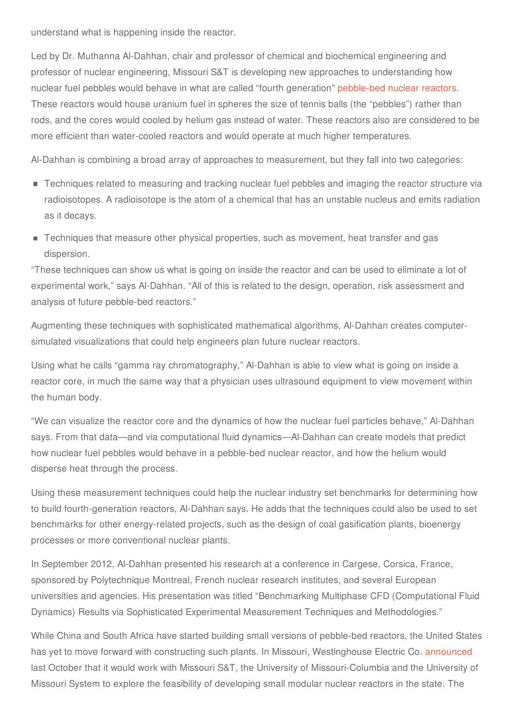understand what is happening inside the reactor.

Led by Dr. Muthanna Al-Dahhan, chair and professor of chemical and biochemical engineering and professor of nuclear engineering, Missouri S&T is developing new approaches to understanding how nuclear fuel pebbles would behave in what are called "fourth generation" [pebble-bed](http://www.nrc.gov/reactors/advanced/pbmr.html) nuclear reactors. These reactors would house uranium fuel in spheres the size of tennis balls (the "pebbles") rather than rods, and the cores would cooled by helium gas instead of water. These reactors also are considered to be more efficient than water-cooled reactors and would operate at much higher temperatures.

Al-Dahhan is combining a broad array of approaches to measurement, but they fall into two categories:

- **Techniques related to measuring and tracking nuclear fuel pebbles and imaging the reactor structure via** radioisotopes. A radioisotope is the atom of a chemical that has an unstable nucleus and emits radiation as it decays.
- **Techniques that measure other physical properties, such as movement, heat transfer and gas** dispersion.

"These techniques can show us what is going on inside the reactor and can be used to eliminate a lot of experimental work," says Al-Dahhan. "All of this is related to the design, operation, risk assessment and analysis of future pebble-bed reactors."

Augmenting these techniques with sophisticated mathematical algorithms, Al-Dahhan creates computersimulated visualizations that could help engineers plan future nuclear reactors.

Using what he calls "gamma ray chromatography," Al-Dahhan is able to view what is going on inside a reactor core, in much the same way that a physician uses ultrasound equipment to view movement within the human body.

"We can visualize the reactor core and the dynamics of how the nuclear fuel particles behave," Al-Dahhan says. From that data—and via computational fluid dynamics—Al-Dahhan can create models that predict how nuclear fuel pebbles would behave in a pebble-bed nuclear reactor, and how the helium would disperse heat through the process.

Using these measurement techniques could help the nuclear industry set benchmarks for determining how to build fourth-generation reactors, Al-Dahhan says. He adds that the techniques could also be used to set benchmarks for other energy-related projects, such as the design of coal gasification plants, bioenergy processes or more conventional nuclear plants.

In September 2012, Al-Dahhan presented his research at a conference in Cargese, Corsica, France, sponsored by Polytechnique Montreal, French nuclear research institutes, and several European universities and agencies. His presentation was titled "Benchmarking Multiphase CFD (Computational Fluid Dynamics) Results via Sophisticated Experimental Measurement Techniques and Methodologies."

While China and South Africa have started building small versions of pebble-bed reactors, the United States has yet to move forward with constructing such plants. In Missouri, Westinghouse Electric Co. [announced](http://kbia.org/post/mu-missouri-st-partner-research-small-modular-nuclear-reactors) last October that it would work with Missouri S&T, the University of Missouri-Columbia and the University of Missouri System to explore the feasibility of developing small modular nuclear reactors in the state. The